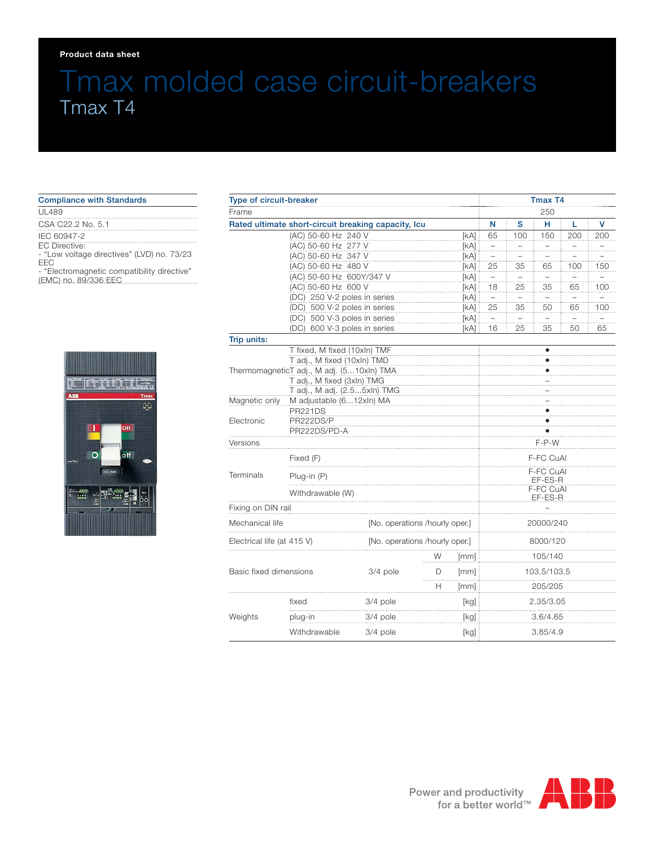#### **Product data sheet**

# Tmax molded case circuit-breakers Tmax T4

| <b>Compliance with Standards</b>                                                                                                                         |  |  |  |  |  |  |  |
|----------------------------------------------------------------------------------------------------------------------------------------------------------|--|--|--|--|--|--|--|
| <b>UL489</b>                                                                                                                                             |  |  |  |  |  |  |  |
| CSA C22.2 No. 5.1                                                                                                                                        |  |  |  |  |  |  |  |
| IEC 60947-2<br>FC Directive:<br>- "Low voltage directives" (LVD) no. 73/23<br>FFC<br>- "Electromagnetic compatibility directive"<br>(EMC) no. 89/336 EEC |  |  |  |  |  |  |  |



| Type of circuit-breaker                                                                                                                |                              |                                |        |                   | <b>Tmax T4</b><br>250 |             |       |     |     |  |
|----------------------------------------------------------------------------------------------------------------------------------------|------------------------------|--------------------------------|--------|-------------------|-----------------------|-------------|-------|-----|-----|--|
| Frame                                                                                                                                  |                              |                                |        |                   |                       |             |       |     |     |  |
| Rated ultimate short-circuit breaking capacity, Icu                                                                                    |                              |                                |        |                   | N                     | s           | н     | L   | v   |  |
|                                                                                                                                        | (AC) 50-60 Hz 240 V          |                                |        | [KA]              | 65                    | 100         | 150   | 200 | 200 |  |
|                                                                                                                                        | (AC) 50-60 Hz 277 V          |                                |        | [KA]              | .                     | .           | $\pm$ | .   | .   |  |
|                                                                                                                                        | (AC) 50-60 Hz 347 V          |                                |        | [KA]              | $\pm$                 |             |       |     |     |  |
|                                                                                                                                        | (AC) 50-60 Hz 480 V          |                                |        | [kA]              | 25                    | 35          | 65    | 100 | 150 |  |
|                                                                                                                                        | (AC) 50-60 Hz 600Y/347 V     |                                |        | [kA]              | $\pm$                 | .           | .     | .   |     |  |
|                                                                                                                                        | (AC) 50-60 Hz 600 V          |                                |        | [KA]              | 18                    | 25          | 35    | 65  | 100 |  |
|                                                                                                                                        | (DC) 250 V-2 poles in series |                                |        | [KA]              |                       |             |       |     |     |  |
| (DC) 500 V-2 poles in series                                                                                                           |                              |                                |        | [kA]              | 25                    | 35          | 50    | 65  | 100 |  |
|                                                                                                                                        | (DC) 500 V-3 poles in series |                                |        | [kA]              |                       |             |       |     |     |  |
|                                                                                                                                        | (DC) 600 V-3 poles in series |                                |        | [kA]              | 16                    | 25          | 35    | 50  | 65  |  |
| Trip units:                                                                                                                            |                              |                                |        |                   |                       |             |       |     |     |  |
|                                                                                                                                        | T fixed, M fixed (10xln) TMF |                                |        |                   | ٠                     |             |       |     |     |  |
| T adj., M fixed (10xln) TMD<br>ThermomagneticT adj., M adj. (510xln) TMA<br>T adj., M fixed (3xln) TMG<br>T adj., M adj. (2.55xln) TMG |                              |                                |        |                   |                       |             |       |     |     |  |
|                                                                                                                                        |                              |                                |        |                   |                       |             |       |     |     |  |
|                                                                                                                                        |                              |                                |        |                   |                       |             |       |     |     |  |
| Magnetic only                                                                                                                          | M adjustable (612xln) MA     |                                |        |                   |                       |             |       |     |     |  |
|                                                                                                                                        | <b>PR221DS</b>               |                                |        |                   |                       |             |       |     |     |  |
| Electronic                                                                                                                             | PR222DS/P                    |                                |        |                   |                       |             |       |     |     |  |
|                                                                                                                                        | PR222DS/PD-A                 |                                |        |                   |                       |             |       |     |     |  |
| Versions                                                                                                                               |                              |                                |        |                   | $F-P-W$               |             |       |     |     |  |
| <b>Terminals</b>                                                                                                                       | Fixed (F)                    |                                |        |                   | F-FC CuAl             |             |       |     |     |  |
|                                                                                                                                        | $Plug-in(P)$                 |                                |        |                   | F-FC CuAl<br>EF-ES-R  |             |       |     |     |  |
|                                                                                                                                        | Withdrawable (W)             |                                |        |                   | F-FC CuAI             |             |       |     |     |  |
|                                                                                                                                        |                              |                                |        |                   | EF-ES-R               |             |       |     |     |  |
| Fixing on DIN rail                                                                                                                     |                              |                                |        |                   |                       |             |       |     |     |  |
| Mechanical life                                                                                                                        |                              | [No. operations /hourly oper.] |        |                   | 20000/240             |             |       |     |     |  |
| Electrical life (at 415 V)                                                                                                             |                              | [No. operations /hourly oper.] |        |                   | 8000/120              |             |       |     |     |  |
|                                                                                                                                        |                              |                                | W      | [mm]              | 105/140               |             |       |     |     |  |
| Basic fixed dimensions                                                                                                                 |                              | 3/4 pole                       | D<br>. | [mm]              |                       | 103.5/103.5 |       |     |     |  |
|                                                                                                                                        |                              |                                | н      | [mm]              |                       | 205/205     |       |     |     |  |
| Weights                                                                                                                                | fixed                        | 3/4 pole                       |        | [kg]<br>2.35/3.05 |                       |             |       |     |     |  |
|                                                                                                                                        | plug-in                      | 3/4 pole                       |        | 3.6/4.65<br>[kg]  |                       |             |       |     |     |  |
|                                                                                                                                        | Withdrawable                 | 3/4 pole                       | [kg]   |                   |                       | 3.85/4.9    |       |     |     |  |

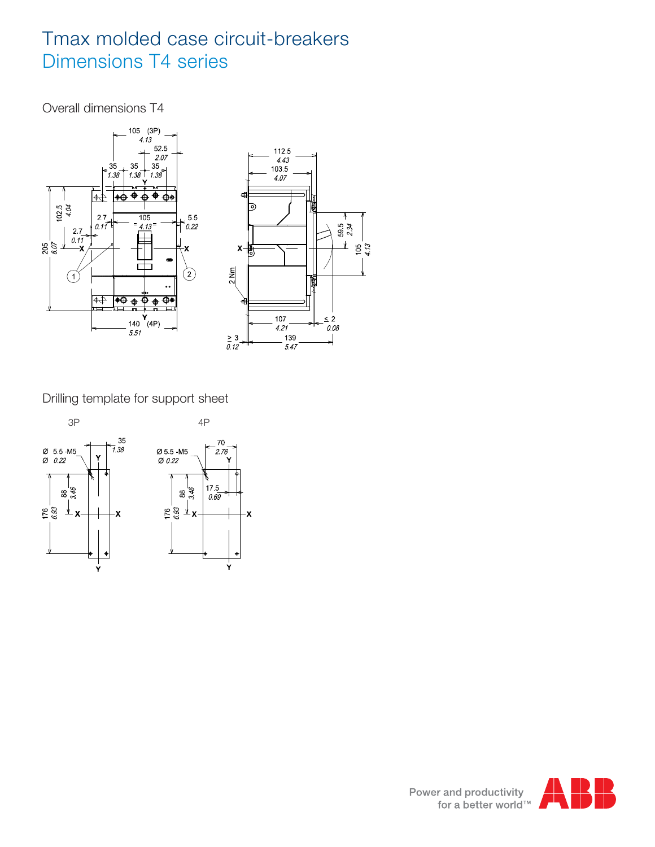## Tmax molded case circuit-breakers Dimensions T4 series

Overall dimensions T4



Drilling template for support sheet